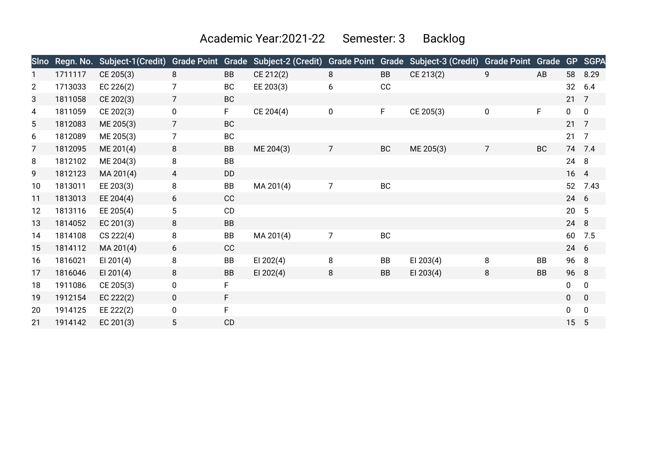Academic Year:2021-22 Semester: 3 Backlog

| <b>Sino</b>    | Regn. No. | Subject-1(Credit) | <b>Grade Point</b> |           | Grade Subject-2 (Credit) | <b>Grade Point Grade</b> |           | Subject-3 (Credit) | <b>Grade Point Grade</b> |           | <b>GP</b>       | <b>SGPA</b>    |
|----------------|-----------|-------------------|--------------------|-----------|--------------------------|--------------------------|-----------|--------------------|--------------------------|-----------|-----------------|----------------|
|                | 1711117   | CE 205(3)         | 8                  | <b>BB</b> | CE 212(2)                | 8                        | BB        | CE 213(2)          | 9                        | AB        |                 | 58 8.29        |
| $\overline{2}$ | 1713033   | EC $226(2)$       | $\overline{7}$     | <b>BC</b> | EE 203(3)                | 6                        | CC        |                    |                          |           | 32              | 6.4            |
| 3              | 1811058   | CE 202(3)         | $\overline{7}$     | <b>BC</b> |                          |                          |           |                    |                          |           | 21              | 7              |
| 4              | 1811059   | CE 202(3)         | $\pmb{0}$          | F.        | CE 204(4)                | 0                        | F.        | CE 205(3)          | $\pmb{0}$                | F         | 0               | $\mathbf 0$    |
| 5              | 1812083   | ME 205(3)         | $\overline{7}$     | <b>BC</b> |                          |                          |           |                    |                          |           | $21 \quad 7$    |                |
| 6              | 1812089   | ME 205(3)         | 7                  | <b>BC</b> |                          |                          |           |                    |                          |           | 21              | $\overline{7}$ |
| 7              | 1812095   | ME 201(4)         | 8                  | <b>BB</b> | ME 204(3)                | 7                        | <b>BC</b> | ME 205(3)          | $\overline{7}$           | <b>BC</b> |                 | 74 7.4         |
| 8              | 1812102   | ME 204(3)         | 8                  | BB        |                          |                          |           |                    |                          |           | 24              | 8              |
| 9              | 1812123   | MA 201(4)         | 4                  | DD        |                          |                          |           |                    |                          |           | 16 4            |                |
| 10             | 1813011   | EE 203(3)         | 8                  | BB        | MA 201(4)                | 7                        | <b>BC</b> |                    |                          |           | 52              | 7.43           |
| 11             | 1813013   | EE 204(4)         | 6                  | CC        |                          |                          |           |                    |                          |           | 24 6            |                |
| 12             | 1813116   | EE 205(4)         | 5                  | CD        |                          |                          |           |                    |                          |           | 20 <sub>2</sub> | 5              |
| 13             | 1814052   | EC $201(3)$       | 8                  | <b>BB</b> |                          |                          |           |                    |                          |           | 24              | 8              |
| 14             | 1814108   | CS 222(4)         | 8                  | BB        | MA 201(4)                | $\overline{7}$           | BC        |                    |                          |           | 60              | 7.5            |
| 15             | 1814112   | MA 201(4)         | 6                  | CC        |                          |                          |           |                    |                          |           | 24 6            |                |
| 16             | 1816021   | EI 201 $(4)$      | 8                  | <b>BB</b> | EI 202(4)                | 8                        | BB        | EI 203 $(4)$       | 8                        | BB        | 96 8            |                |
| 17             | 1816046   | EI 201 $(4)$      | 8                  | <b>BB</b> | EI 202 $(4)$             | 8                        | BB        | EI 203 $(4)$       | 8                        | <b>BB</b> | 96 8            |                |
| 18             | 1911086   | CE 205(3)         | 0                  | F         |                          |                          |           |                    |                          |           | 0               | 0              |
| 19             | 1912154   | EC 222(2)         | $\mathbf 0$        | F.        |                          |                          |           |                    |                          |           | $\mathbf 0$     | $\mathbf 0$    |
| 20             | 1914125   | EE 222(2)         | 0                  | F         |                          |                          |           |                    |                          |           | 0               | $\pmb{0}$      |
| 21             | 1914142   | EC 201(3)         | 5                  | CD        |                          |                          |           |                    |                          |           | 15              | 5              |